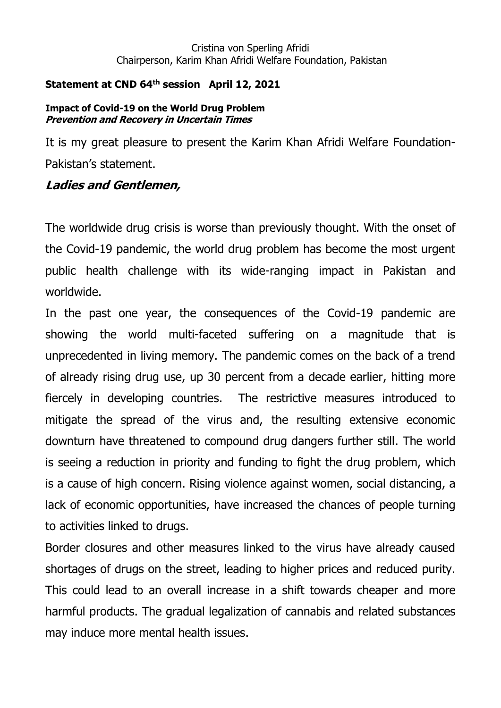#### Cristina von Sperling Afridi Chairperson, Karim Khan Afridi Welfare Foundation, Pakistan

### **Statement at CND 64th session April 12, 2021**

#### **Impact of Covid-19 on the World Drug Problem Prevention and Recovery in Uncertain Times**

It is my great pleasure to present the Karim Khan Afridi Welfare Foundation-Pakistan's statement.

## **Ladies and Gentlemen,**

The worldwide drug crisis is worse than previously thought. With the onset of the Covid-19 pandemic, the world drug problem has become the most urgent public health challenge with its wide-ranging impact in Pakistan and worldwide.

In the past one year, the consequences of the Covid-19 pandemic are showing the world multi-faceted suffering on a magnitude that is unprecedented in living memory. The pandemic comes on the back of a trend of already rising drug use, up 30 percent from a decade earlier, hitting more fiercely in developing countries. The restrictive measures introduced to mitigate the spread of the virus and, the resulting extensive economic downturn have threatened to compound drug dangers further still. The world is seeing a reduction in priority and funding to fight the drug problem, which is a cause of high concern. Rising violence against women, social distancing, a lack of economic opportunities, have increased the chances of people turning to activities linked to drugs.

Border closures and other measures linked to the virus have already caused shortages of drugs on the street, leading to higher prices and reduced purity. This could lead to an overall increase in a shift towards cheaper and more harmful products. The gradual legalization of cannabis and related substances may induce more mental health issues.